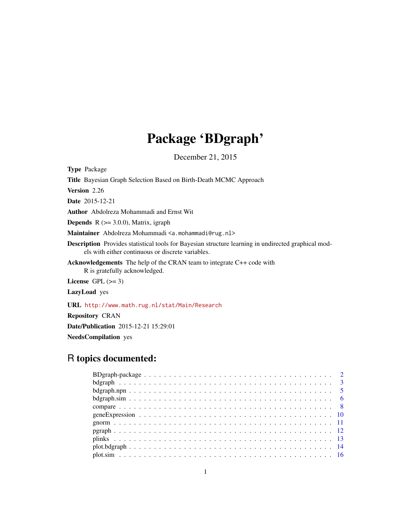## Package 'BDgraph'

December 21, 2015

Type Package

Title Bayesian Graph Selection Based on Birth-Death MCMC Approach Version 2.26 Date 2015-12-21 Author Abdolreza Mohammadi and Ernst Wit **Depends**  $R$  ( $>= 3.0.0$ ), Matrix, igraph Maintainer Abdolreza Mohammadi <a.mohammadi@rug.nl> Description Provides statistical tools for Bayesian structure learning in undirected graphical models with either continuous or discrete variables. Acknowledgements The help of the CRAN team to integrate C++ code with R is gratefully acknowledged. License GPL  $(>= 3)$ LazyLoad yes URL <http://www.math.rug.nl/stat/Main/Research> Repository CRAN Date/Publication 2015-12-21 15:29:01 NeedsCompilation yes

## R topics documented: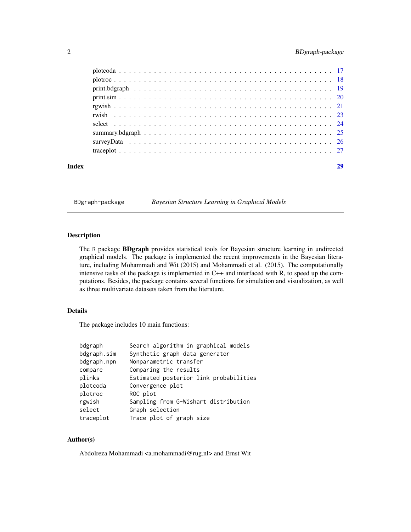## <span id="page-1-0"></span>2 BDgraph-package

| Index | 29 |
|-------|----|
|       |    |
|       |    |
|       |    |
|       |    |
|       |    |
|       |    |
|       |    |
|       |    |
|       |    |
|       |    |

BDgraph-package *Bayesian Structure Learning in Graphical Models*

## Description

The R package BDgraph provides statistical tools for Bayesian structure learning in undirected graphical models. The package is implemented the recent improvements in the Bayesian literature, including Mohammadi and Wit (2015) and Mohammadi et al. (2015). The computationally intensive tasks of the package is implemented in C++ and interfaced with R, to speed up the computations. Besides, the package contains several functions for simulation and visualization, as well as three multivariate datasets taken from the literature.

## Details

The package includes 10 main functions:

| Search algorithm in graphical models   |
|----------------------------------------|
| Synthetic graph data generator         |
| Nonparametric transfer                 |
| Comparing the results                  |
| Estimated posterior link probabilities |
| Convergence plot                       |
| ROC plot                               |
| Sampling from G-Wishart distribution   |
| Graph selection                        |
| Trace plot of graph size               |
|                                        |

## Author(s)

Abdolreza Mohammadi <a.mohammadi@rug.nl> and Ernst Wit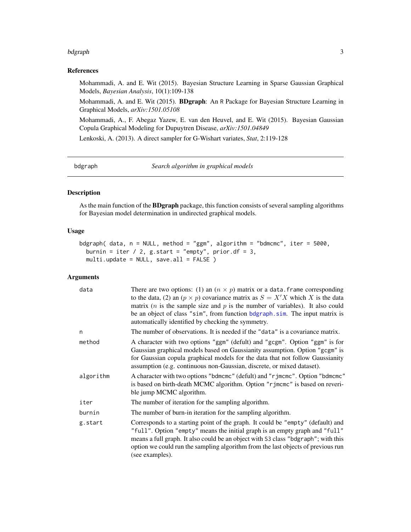#### <span id="page-2-0"></span>bdgraph 30 and 30 and 30 and 30 and 30 and 30 and 30 and 30 and 30 and 30 and 30 and 30 and 30 and 30 and 30 and 30 and 30 and 30 and 30 and 30 and 30 and 30 and 30 and 30 and 30 and 30 and 30 and 30 and 30 and 30 and 30 a

## References

Mohammadi, A. and E. Wit (2015). Bayesian Structure Learning in Sparse Gaussian Graphical Models, *Bayesian Analysis*, 10(1):109-138

Mohammadi, A. and E. Wit (2015). BDgraph: An R Package for Bayesian Structure Learning in Graphical Models, *arXiv:1501.05108*

Mohammadi, A., F. Abegaz Yazew, E. van den Heuvel, and E. Wit (2015). Bayesian Gaussian Copula Graphical Modeling for Dupuytren Disease, *arXiv:1501.04849*

Lenkoski, A. (2013). A direct sampler for G-Wishart variates, *Stat*, 2:119-128

<span id="page-2-1"></span>bdgraph *Search algorithm in graphical models*

## Description

As the main function of the BDgraph package, this function consists of several sampling algorithms for Bayesian model determination in undirected graphical models.

#### Usage

```
bdgraph( data, n = NULL, method = "ggm", algorithm = "bdmcmc", iter = 5000,
 burnin = iter / 2, g.start = "empty", prior.df = 3,
 multi.update = NULL, save.all = FALSE )
```
## Arguments

| data      | There are two options: (1) an $(n \times p)$ matrix or a data. frame corresponding<br>to the data, (2) an $(p \times p)$ covariance matrix as $S = X'X$ which X is the data<br>matrix ( <i>n</i> is the sample size and $p$ is the number of variables). It also could<br>be an object of class "sim", from function bdgraph.sim. The input matrix is<br>automatically identified by checking the symmetry. |
|-----------|-------------------------------------------------------------------------------------------------------------------------------------------------------------------------------------------------------------------------------------------------------------------------------------------------------------------------------------------------------------------------------------------------------------|
| n         | The number of observations. It is needed if the "data" is a covariance matrix.                                                                                                                                                                                                                                                                                                                              |
| method    | A character with two options "ggm" (defult) and "gcgm". Option "ggm" is for<br>Gaussian graphical models based on Gaussianity assumption. Option "gcgm" is<br>for Gaussian copula graphical models for the data that not follow Gaussianity<br>assumption (e.g. continuous non-Gaussian, discrete, or mixed dataset).                                                                                       |
| algorithm | A character with two options "bdmcmc" (defult) and "rjmcmc". Option "bdmcmc"<br>is based on birth-death MCMC algorithm. Option "r jmcmc" is based on reveri-<br>ble jump MCMC algorithm.                                                                                                                                                                                                                    |
| iter      | The number of iteration for the sampling algorithm.                                                                                                                                                                                                                                                                                                                                                         |
| burnin    | The number of burn-in iteration for the sampling algorithm.                                                                                                                                                                                                                                                                                                                                                 |
| g.start   | Corresponds to a starting point of the graph. It could be "empty" (default) and<br>"full". Option "empty" means the initial graph is an empty graph and "full"<br>means a full graph. It also could be an object with S3 class "bdgraph"; with this<br>option we could run the sampling algorithm from the last objects of previous run<br>(see examples).                                                  |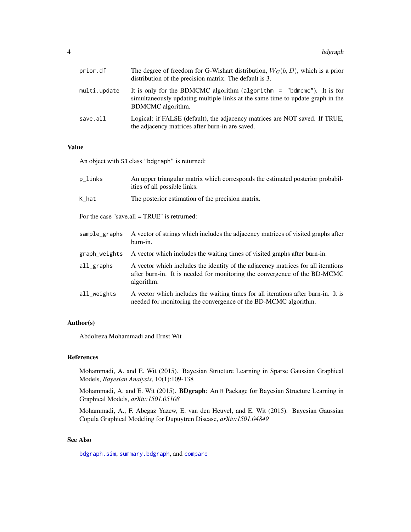<span id="page-3-0"></span>

| prior.df     | The degree of freedom for G-Wishart distribution, $W_G(b, D)$ , which is a prior<br>distribution of the precision matrix. The default is 3.                                    |
|--------------|--------------------------------------------------------------------------------------------------------------------------------------------------------------------------------|
| multi.update | It is only for the BDMCMC algorithm (algorithm $=$ "bdmcmc"). It is for<br>simultaneously updating multiple links at the same time to update graph in the<br>BDMCMC algorithm. |
| save.all     | Logical: if FALSE (default), the adjacency matrices are NOT saved. If TRUE,<br>the adjacency matrices after burn-in are saved.                                                 |

## Value

An object with S3 class "bdgraph" is returned:

| p_links       | An upper triangular matrix which corresponds the estimated posterior probabil-<br>ities of all possible links.                                                               |
|---------------|------------------------------------------------------------------------------------------------------------------------------------------------------------------------------|
| K_hat         | The posterior estimation of the precision matrix.                                                                                                                            |
|               | For the case "save.all $= TRUE$ " is retrurned:                                                                                                                              |
| sample_graphs | A vector of strings which includes the adjacency matrices of visited graphs after<br>burn-in.                                                                                |
| graph_weights | A vector which includes the waiting times of visited graphs after burn-in.                                                                                                   |
| all_graphs    | A vector which includes the identity of the adjacency matrices for all iterations<br>after burn-in. It is needed for monitoring the convergence of the BD-MCMC<br>algorithm. |
| all_weights   | A vector which includes the waiting times for all iterations after burn-in. It is<br>needed for monitoring the convergence of the BD-MCMC algorithm.                         |

## Author(s)

Abdolreza Mohammadi and Ernst Wit

## References

Mohammadi, A. and E. Wit (2015). Bayesian Structure Learning in Sparse Gaussian Graphical Models, *Bayesian Analysis*, 10(1):109-138

Mohammadi, A. and E. Wit (2015). BDgraph: An R Package for Bayesian Structure Learning in Graphical Models, *arXiv:1501.05108*

Mohammadi, A., F. Abegaz Yazew, E. van den Heuvel, and E. Wit (2015). Bayesian Gaussian Copula Graphical Modeling for Dupuytren Disease, *arXiv:1501.04849*

## See Also

[bdgraph.sim](#page-5-1), [summary.bdgraph](#page-24-1), and [compare](#page-7-1)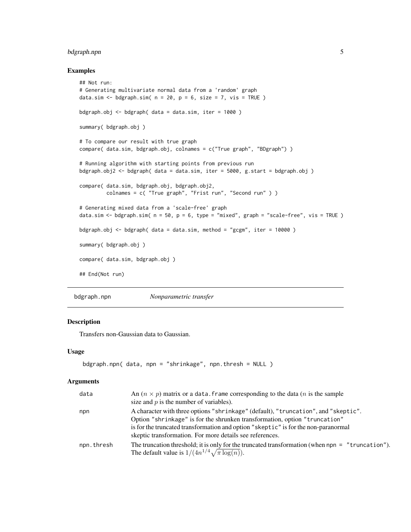## <span id="page-4-0"></span>bdgraph.npn 5

## Examples

```
## Not run:
# Generating multivariate normal data from a 'random' graph
data.sim \leq bdgraph.sim( n = 20, p = 6, size = 7, vis = TRUE )
bdgraph.obj \leq bdgraph( data = data.sim, iter = 1000 )
summary( bdgraph.obj )
# To compare our result with true graph
compare( data.sim, bdgraph.obj, colnames = c("True graph", "BDgraph") )
# Running algorithm with starting points from previous run
bdgraph.obj2 <- bdgraph( data = data.sim, iter = 5000, g.start = bdgraph.obj)
compare( data.sim, bdgraph.obj, bdgraph.obj2,
        colnames = c( "True graph", "Frist run", "Second run" ) )
# Generating mixed data from a 'scale-free' graph
data.sim <- bdgraph.sim(n = 50, p = 6, type = "mixed", graph = "scale-free", vis = TRUE)
bdgraph.obj <- bdgraph( data = data.sim, method = "gcgm", iter = 10000)
summary( bdgraph.obj )
compare( data.sim, bdgraph.obj )
## End(Not run)
```
bdgraph.npn *Nonparametric transfer*

## Description

Transfers non-Gaussian data to Gaussian.

## Usage

```
bdgraph.npn( data, npn = "shrinkage", npn.thresh = NULL )
```
#### Arguments

| data       | An $(n \times p)$ matrix or a data. frame corresponding to the data ( <i>n</i> is the sample<br>size and $p$ is the number of variables).                                                                                                              |
|------------|--------------------------------------------------------------------------------------------------------------------------------------------------------------------------------------------------------------------------------------------------------|
| npn        | A character with three options "shrinkage" (default), "truncation", and "skeptic".<br>Option "shrinkage" is for the shrunken transformation, option "truncation"<br>is for the truncated transformation and option "skeptic" is for the non-paranormal |
|            | skeptic transformation. For more details see references.                                                                                                                                                                                               |
| npn.thresh | The truncation threshold; it is only for the truncated transformation (when $npn = "truncation".$<br>The default value is $1/(4n^{1/4}\sqrt{\pi \log(n)})$ .                                                                                           |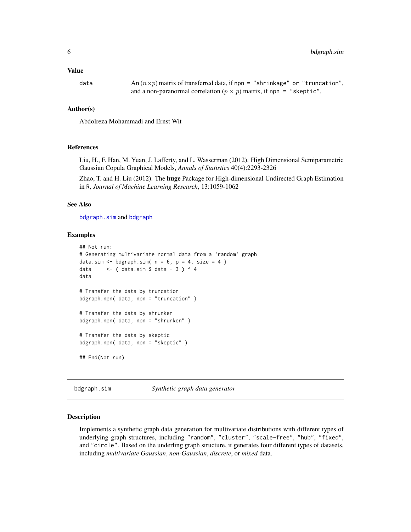<span id="page-5-0"></span>data  $\text{An}(n \times p)$  matrix of transferred data, if npn = "shrinkage" or "truncation", and a non-paranormal correlation ( $p \times p$ ) matrix, if npn = "skeptic".

#### Author(s)

Abdolreza Mohammadi and Ernst Wit

## References

Liu, H., F. Han, M. Yuan, J. Lafferty, and L. Wasserman (2012). High Dimensional Semiparametric Gaussian Copula Graphical Models, *Annals of Statistics* 40(4):2293-2326

Zhao, T. and H. Liu (2012). The huge Package for High-dimensional Undirected Graph Estimation in R, *Journal of Machine Learning Research*, 13:1059-1062

## See Also

[bdgraph.sim](#page-5-1) and [bdgraph](#page-2-1)

#### Examples

```
## Not run:
# Generating multivariate normal data from a 'random' graph
data.sim \leq bdgraph.sim( n = 6, p = 4, size = 4)
data \leq ( data.sim $ data - 3 ) ^ 4
data
# Transfer the data by truncation
bdgraph.npn( data, npn = "truncation" )
# Transfer the data by shrunken
bdgraph.npn( data, npn = "shrunken" )
# Transfer the data by skeptic
bdgraph.npn( data, npn = "skeptic" )
## End(Not run)
```
<span id="page-5-1"></span>bdgraph.sim *Synthetic graph data generator*

#### **Description**

Implements a synthetic graph data generation for multivariate distributions with different types of underlying graph structures, including "random", "cluster", "scale-free", "hub", "fixed", and "circle". Based on the underling graph structure, it generates four different types of datasets, including *multivariate Gaussian*, *non-Gaussian*, *discrete*, or *mixed* data.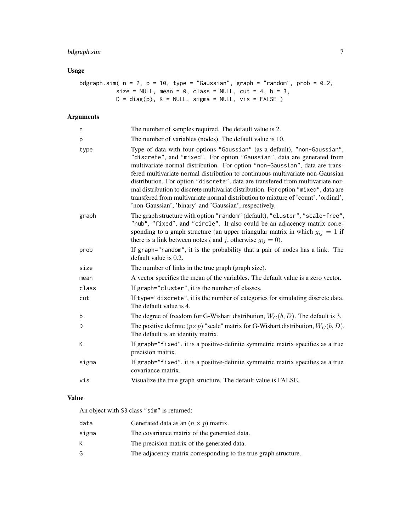## bdgraph.sim 7

## Usage

```
bdgraph.sim( n = 2, p = 10, type = "Gaussian", graph = "random", prob = 0.2,
          size = NULL, mean = 0, class = NULL, cut = 4, b = 3,
          D = diag(p), K = NULL, sigma = NULL, vis = FALSE )
```
## Arguments

| n     | The number of samples required. The default value is 2.                                                                                                                                                                                                                                                                                                                                                                                                                                                                                                                                                                                          |
|-------|--------------------------------------------------------------------------------------------------------------------------------------------------------------------------------------------------------------------------------------------------------------------------------------------------------------------------------------------------------------------------------------------------------------------------------------------------------------------------------------------------------------------------------------------------------------------------------------------------------------------------------------------------|
| р     | The number of variables (nodes). The default value is 10.                                                                                                                                                                                                                                                                                                                                                                                                                                                                                                                                                                                        |
| type  | Type of data with four options "Gaussian" (as a default), "non-Gaussian",<br>"discrete", and "mixed". For option "Gaussian", data are generated from<br>multivariate normal distribution. For option "non-Gaussian", data are trans-<br>fered multivariate normal distribution to continuous multivariate non-Gaussian<br>distribution. For option "discrete", data are transfered from multivariate nor-<br>mal distribution to discrete multivariat distribution. For option "mixed", data are<br>transfered from multivariate normal distribution to mixture of 'count', 'ordinal',<br>'non-Gaussian', 'binary' and 'Gaussian', respectively. |
| graph | The graph structure with option "random" (default), "cluster", "scale-free",<br>"hub", "fixed", and "circle". It also could be an adjacency matrix corre-<br>sponding to a graph structure (an upper triangular matrix in which $g_{ij} = 1$ if<br>there is a link between notes i and j, otherwise $g_{ij} = 0$ ).                                                                                                                                                                                                                                                                                                                              |
| prob  | If graph="random", it is the probability that a pair of nodes has a link. The<br>default value is 0.2.                                                                                                                                                                                                                                                                                                                                                                                                                                                                                                                                           |
| size  | The number of links in the true graph (graph size).                                                                                                                                                                                                                                                                                                                                                                                                                                                                                                                                                                                              |
| mean  | A vector specifies the mean of the variables. The default value is a zero vector.                                                                                                                                                                                                                                                                                                                                                                                                                                                                                                                                                                |
| class | If graph="cluster", it is the number of classes.                                                                                                                                                                                                                                                                                                                                                                                                                                                                                                                                                                                                 |
| cut   | If type="discrete", it is the number of categories for simulating discrete data.<br>The default value is 4.                                                                                                                                                                                                                                                                                                                                                                                                                                                                                                                                      |
| b     | The degree of freedom for G-Wishart distribution, $W_G(b, D)$ . The default is 3.                                                                                                                                                                                                                                                                                                                                                                                                                                                                                                                                                                |
| D     | The positive definite $(p \times p)$ "scale" matrix for G-Wishart distribution, $W_G(b, D)$ .<br>The default is an identity matrix.                                                                                                                                                                                                                                                                                                                                                                                                                                                                                                              |
| K     | If graph="fixed", it is a positive-definite symmetric matrix specifies as a true<br>precision matrix.                                                                                                                                                                                                                                                                                                                                                                                                                                                                                                                                            |
| sigma | If graph="fixed", it is a positive-definite symmetric matrix specifies as a true<br>covariance matrix.                                                                                                                                                                                                                                                                                                                                                                                                                                                                                                                                           |
| vis   | Visualize the true graph structure. The default value is FALSE.                                                                                                                                                                                                                                                                                                                                                                                                                                                                                                                                                                                  |

## Value

An object with S3 class "sim" is returned:

| data  | Generated data as an $(n \times p)$ matrix.                     |
|-------|-----------------------------------------------------------------|
| sigma | The covariance matrix of the generated data.                    |
| K.    | The precision matrix of the generated data.                     |
| G.    | The adjacency matrix corresponding to the true graph structure. |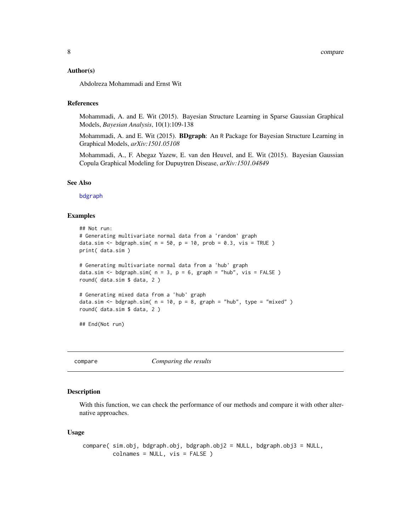#### <span id="page-7-0"></span>Author(s)

Abdolreza Mohammadi and Ernst Wit

## References

Mohammadi, A. and E. Wit (2015). Bayesian Structure Learning in Sparse Gaussian Graphical Models, *Bayesian Analysis*, 10(1):109-138

Mohammadi, A. and E. Wit (2015). **BDgraph**: An R Package for Bayesian Structure Learning in Graphical Models, *arXiv:1501.05108*

Mohammadi, A., F. Abegaz Yazew, E. van den Heuvel, and E. Wit (2015). Bayesian Gaussian Copula Graphical Modeling for Dupuytren Disease, *arXiv:1501.04849*

#### See Also

[bdgraph](#page-2-1)

#### Examples

```
## Not run:
# Generating multivariate normal data from a 'random' graph
data.sim <- bdgraph.sim(n = 50, p = 10, prob = 0.3, vis = TRUE)
print( data.sim )
# Generating multivariate normal data from a 'hub' graph
data.sim <- bdgraph.sim(n = 3, p = 6, graph = "hub", vis = FALSE)
round( data.sim $ data, 2 )
# Generating mixed data from a 'hub' graph
data.sim <- bdgraph.sim(n = 10, p = 8, graph = "hub", type = "mixed")
round( data.sim $ data, 2 )
## End(Not run)
```
<span id="page-7-1"></span>

compare *Comparing the results*

#### Description

With this function, we can check the performance of our methods and compare it with other alternative approaches.

#### Usage

```
compare( sim.obj, bdgraph.obj, bdgraph.obj2 = NULL, bdgraph.obj3 = NULL,
         colnames = NULL, vis = FALSE )
```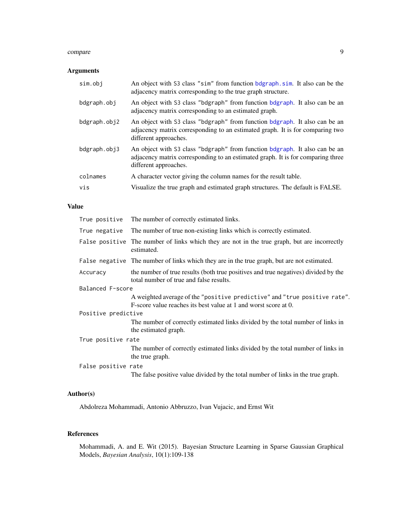#### <span id="page-8-0"></span>compare 9

## Arguments

| sim.obj      | An object with S3 class "sim" from function bdgraph.sim. It also can be the<br>adjacency matrix corresponding to the true graph structure.                                             |
|--------------|----------------------------------------------------------------------------------------------------------------------------------------------------------------------------------------|
| bdgraph.obj  | An object with S3 class "bdgraph" from function bdgraph. It also can be an<br>adjacency matrix corresponding to an estimated graph.                                                    |
| bdgraph.obj2 | An object with S3 class "bdgraph" from function bdgraph. It also can be an<br>adjacency matrix corresponding to an estimated graph. It is for comparing two<br>different approaches.   |
| bdgraph.obj3 | An object with S3 class "bdgraph" from function bdgraph. It also can be an<br>adjacency matrix corresponding to an estimated graph. It is for comparing three<br>different approaches. |
| colnames     | A character vector giving the column names for the result table.                                                                                                                       |
| vis          | Visualize the true graph and estimated graph structures. The default is FALSE.                                                                                                         |

#### Value

| True positive       | The number of correctly estimated links.                                                                                                     |  |
|---------------------|----------------------------------------------------------------------------------------------------------------------------------------------|--|
| True negative       | The number of true non-existing links which is correctly estimated.                                                                          |  |
|                     | False positive The number of links which they are not in the true graph, but are incorrectly<br>estimated.                                   |  |
|                     | False negative The number of links which they are in the true graph, but are not estimated.                                                  |  |
| Accuracy            | the number of true results (both true positives and true negatives) divided by the<br>total number of true and false results.                |  |
| Balanced F-score    |                                                                                                                                              |  |
|                     | A weighted average of the "positive predictive" and "true positive rate".<br>F-score value reaches its best value at 1 and worst score at 0. |  |
| Positive predictive |                                                                                                                                              |  |
|                     | The number of correctly estimated links divided by the total number of links in<br>the estimated graph.                                      |  |
| True positive rate  |                                                                                                                                              |  |
|                     | The number of correctly estimated links divided by the total number of links in<br>the true graph.                                           |  |
| False positive rate |                                                                                                                                              |  |
|                     | The false positive value divided by the total number of links in the true graph.                                                             |  |

## Author(s)

Abdolreza Mohammadi, Antonio Abbruzzo, Ivan Vujacic, and Ernst Wit

## References

Mohammadi, A. and E. Wit (2015). Bayesian Structure Learning in Sparse Gaussian Graphical Models, *Bayesian Analysis*, 10(1):109-138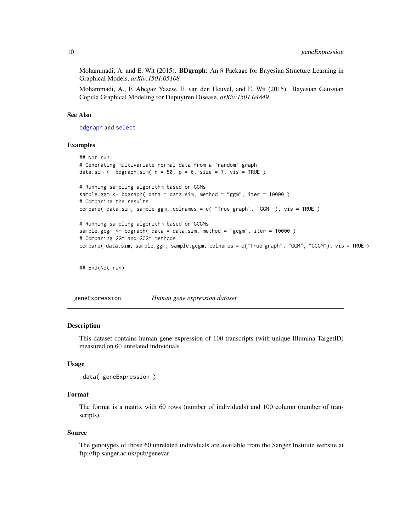<span id="page-9-0"></span>Mohammadi, A. and E. Wit (2015). **BDgraph**: An R Package for Bayesian Structure Learning in Graphical Models, *arXiv:1501.05108*

Mohammadi, A., F. Abegaz Yazew, E. van den Heuvel, and E. Wit (2015). Bayesian Gaussian Copula Graphical Modeling for Dupuytren Disease, *arXiv:1501.04849*

#### See Also

[bdgraph](#page-2-1) and [select](#page-23-1)

#### Examples

```
## Not run:
# Generating multivariate normal data from a 'random' graph
data.sim <- bdgraph.sim(n = 50, p = 6, size = 7, vis = TRUE)
# Running sampling algorithm based on GGMs
sample.ggm \leq- bdgraph( data = data.sim, method = "ggm", iter = 10000)
# Comparing the results
compare( data.sim, sample.ggm, colnames = c( "True graph", "GGM" ), vis = TRUE )
# Running sampling algorithm based on GCGMs
sample.gcgm <- bdgraph( data = data.sim, method = "gcgm", iter = 10000)
# Comparing GGM and GCGM methods
compare( data.sim, sample.ggm, sample.gcgm, colnames = c("True graph", "GGM", "GCGM"), vis = TRUE )
```
## End(Not run)

geneExpression *Human gene expression dataset*

#### **Description**

This dataset contains human gene expression of 100 transcripts (with unique Illumina TargetID) measured on 60 unrelated individuals.

#### Usage

```
data( geneExpression )
```
#### Format

The format is a matrix with 60 rows (number of individuals) and 100 column (number of transcripts).

#### Source

The genotypes of those 60 unrelated individuals are available from the Sanger Institute website at ftp://ftp.sanger.ac.uk/pub/genevar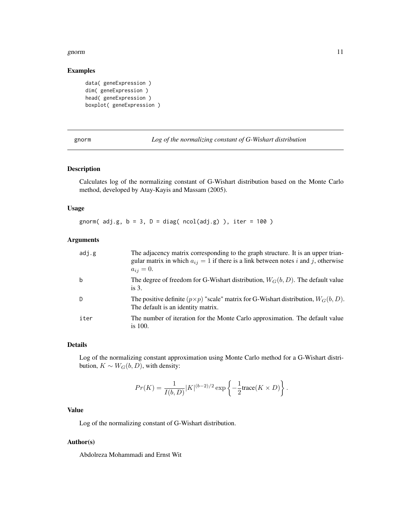#### <span id="page-10-0"></span>gnorm and the set of the set of the set of the set of the set of the set of the set of the set of the set of the set of the set of the set of the set of the set of the set of the set of the set of the set of the set of the

## Examples

```
data( geneExpression )
dim( geneExpression )
head( geneExpression )
boxplot( geneExpression )
```
gnorm *Log of the normalizing constant of G-Wishart distribution*

#### Description

Calculates log of the normalizing constant of G-Wishart distribution based on the Monte Carlo method, developed by Atay-Kayis and Massam (2005).

## Usage

gnorm( $adj.g, b = 3, D = diag(ncol(adj.g))$ , iter = 100)

## Arguments

| adj.g | The adjacency matrix corresponding to the graph structure. It is an upper trian-<br>gular matrix in which $a_{ij} = 1$ if there is a link between notes i and j, otherwise<br>$a_{ij} = 0.$ |
|-------|---------------------------------------------------------------------------------------------------------------------------------------------------------------------------------------------|
| b     | The degree of freedom for G-Wishart distribution, $W_G(b, D)$ . The default value<br>is $3$ .                                                                                               |
| D     | The positive definite $(p \times p)$ "scale" matrix for G-Wishart distribution, $W_G(b, D)$ .<br>The default is an identity matrix.                                                         |
| iter  | The number of iteration for the Monte Carlo approximation. The default value<br>is $100.$                                                                                                   |

## Details

Log of the normalizing constant approximation using Monte Carlo method for a G-Wishart distribution,  $K \sim W_G(b, D)$ , with density:

$$
Pr(K) = \frac{1}{I(b, D)} |K|^{(b-2)/2} \exp \left\{-\frac{1}{2} \text{trace}(K \times D)\right\}.
$$

## Value

Log of the normalizing constant of G-Wishart distribution.

#### Author(s)

Abdolreza Mohammadi and Ernst Wit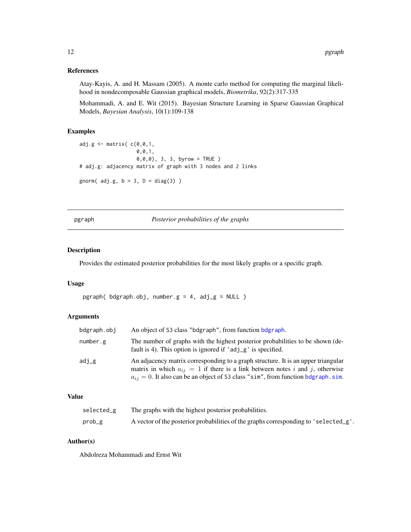## <span id="page-11-0"></span>References

Atay-Kayis, A. and H. Massam (2005). A monte carlo method for computing the marginal likelihood in nondecomposable Gaussian graphical models, *Biometrika*, 92(2):317-335

Mohammadi, A. and E. Wit (2015). Bayesian Structure Learning in Sparse Gaussian Graphical Models, *Bayesian Analysis*, 10(1):109-138

#### Examples

```
adj.g \leftarrow matrix(C(0, 0, 1,0,0,1,
                   0,0,0), 3, 3, byrow = TRUE )
# adj.g: adjacency matrix of graph with 3 nodes and 2 links
gnorm(adj.g, b = 3, D = diag(3))
```
pgraph *Posterior probabilities of the graphs*

#### Description

Provides the estimated posterior probabilities for the most likely graphs or a specific graph.

#### Usage

pgraph(  $b$ dgraph.obj, number.g = 4,  $a$ dj\_g = NULL )

## Arguments

| bdgraph.obj | An object of S3 class "bdgraph", from function bdgraph.                                                                                                                                                                                                         |
|-------------|-----------------------------------------------------------------------------------------------------------------------------------------------------------------------------------------------------------------------------------------------------------------|
| number.g    | The number of graphs with the highest posterior probabilities to be shown (de-<br>fault is 4). This option is ignored if $'adj_g'$ is specified.                                                                                                                |
| adj_g       | An adjacency matrix corresponding to a graph structure. It is an upper triangular<br>matrix in which $a_{ij} = 1$ if there is a link between notes i and j, otherwise<br>$a_{ij} = 0$ . It also can be an object of S3 class "sim", from function bdgraph. sim. |

#### Value

| selected_g | The graphs with the highest posterior probabilities.                                 |
|------------|--------------------------------------------------------------------------------------|
| prob_g     | A vector of the posterior probabilities of the graphs corresponding to 'selected_g'. |

#### Author(s)

Abdolreza Mohammadi and Ernst Wit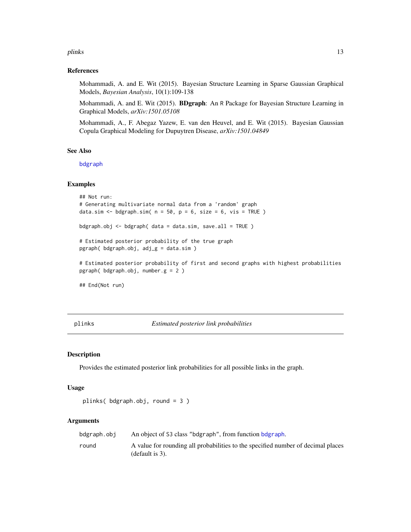#### <span id="page-12-0"></span>plinks that the contract of the contract of the contract of the contract of the contract of the contract of the contract of the contract of the contract of the contract of the contract of the contract of the contract of th

#### References

Mohammadi, A. and E. Wit (2015). Bayesian Structure Learning in Sparse Gaussian Graphical Models, *Bayesian Analysis*, 10(1):109-138

Mohammadi, A. and E. Wit (2015). BDgraph: An R Package for Bayesian Structure Learning in Graphical Models, *arXiv:1501.05108*

Mohammadi, A., F. Abegaz Yazew, E. van den Heuvel, and E. Wit (2015). Bayesian Gaussian Copula Graphical Modeling for Dupuytren Disease, *arXiv:1501.04849*

## See Also

[bdgraph](#page-2-1)

#### Examples

```
## Not run:
# Generating multivariate normal data from a 'random' graph
data.sim <- bdgraph.sim(n = 50, p = 6, size = 6, vis = TRUE)
bdgraph.obj <- bdgraph( data = data.sim, save.all = TRUE )
# Estimated posterior probability of the true graph
pgraph( bdgraph.obj, adj_g = data.sim )
# Estimated posterior probability of first and second graphs with highest probabilities
pgraph( bdgraph.obj, number.g = 2 )
## End(Not run)
```
plinks *Estimated posterior link probabilities*

#### Description

Provides the estimated posterior link probabilities for all possible links in the graph.

## Usage

```
plinks( bdgraph.obj, round = 3 )
```
## Arguments

| bdgraph.obj | An object of S3 class "bdgraph", from function bdgraph.                                                |
|-------------|--------------------------------------------------------------------------------------------------------|
| round       | A value for rounding all probabilities to the specified number of decimal places<br>(default is $3$ ). |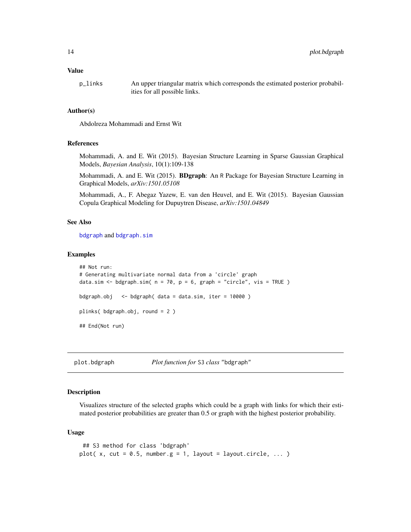#### <span id="page-13-0"></span>Value

p\_links An upper triangular matrix which corresponds the estimated posterior probabilities for all possible links.

#### Author(s)

Abdolreza Mohammadi and Ernst Wit

#### References

Mohammadi, A. and E. Wit (2015). Bayesian Structure Learning in Sparse Gaussian Graphical Models, *Bayesian Analysis*, 10(1):109-138

Mohammadi, A. and E. Wit (2015). **BDgraph**: An R Package for Bayesian Structure Learning in Graphical Models, *arXiv:1501.05108*

Mohammadi, A., F. Abegaz Yazew, E. van den Heuvel, and E. Wit (2015). Bayesian Gaussian Copula Graphical Modeling for Dupuytren Disease, *arXiv:1501.04849*

## See Also

[bdgraph](#page-2-1) and [bdgraph.sim](#page-5-1)

#### Examples

```
## Not run:
# Generating multivariate normal data from a 'circle' graph
data.sim \leq bdgraph.sim( n = 70, p = 6, graph = "circle", vis = TRUE)
bdgraph.obj <- bdgraph( data = data.sim, iter = 10000 )
plinks( bdgraph.obj, round = 2 )
## End(Not run)
```
plot.bdgraph *Plot function for* S3 *class* "bdgraph"

#### **Description**

Visualizes structure of the selected graphs which could be a graph with links for which their estimated posterior probabilities are greater than 0.5 or graph with the highest posterior probability.

#### Usage

```
## S3 method for class 'bdgraph'
plot(x, cut = 0.5, number.g = 1, layout = layout.circle, ...)
```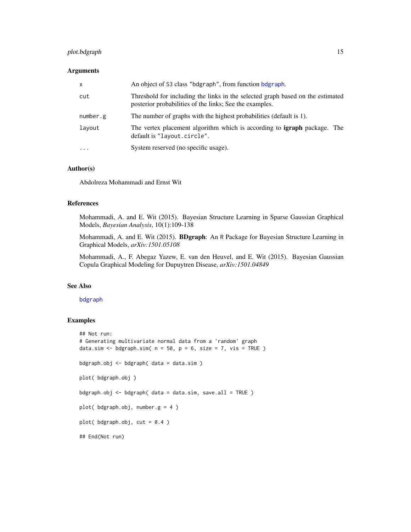## plot.bdgraph 15

## Arguments

| $\mathsf{x}$ | An object of S3 class "bdgraph", from function bdgraph.                                                                                   |
|--------------|-------------------------------------------------------------------------------------------------------------------------------------------|
| cut          | Threshold for including the links in the selected graph based on the estimated<br>posterior probabilities of the links; See the examples. |
| number.g     | The number of graphs with the highest probabilities (default is 1).                                                                       |
| layout       | The vertex placement algorithm which is according to <b>igraph</b> package. The<br>default is "layout.circle".                            |
| $\cdot$      | System reserved (no specific usage).                                                                                                      |

#### Author(s)

Abdolreza Mohammadi and Ernst Wit

## References

Mohammadi, A. and E. Wit (2015). Bayesian Structure Learning in Sparse Gaussian Graphical Models, *Bayesian Analysis*, 10(1):109-138

Mohammadi, A. and E. Wit (2015). **BDgraph**: An R Package for Bayesian Structure Learning in Graphical Models, *arXiv:1501.05108*

Mohammadi, A., F. Abegaz Yazew, E. van den Heuvel, and E. Wit (2015). Bayesian Gaussian Copula Graphical Modeling for Dupuytren Disease, *arXiv:1501.04849*

## See Also

#### [bdgraph](#page-2-1)

## Examples

```
## Not run:
# Generating multivariate normal data from a 'random' graph
data.sim \leq bdgraph.sim( n = 50, p = 6, size = 7, vis = TRUE )
bdgraph.obj <- bdgraph( data = data.sim )
plot( bdgraph.obj )
bdgraph.obj <- bdgraph( data = data.sim, save.all = TRUE )
plot( bdgraph.obj, number.g = 4 )
plot( bdgraph.obj, cut = 0.4 )
## End(Not run)
```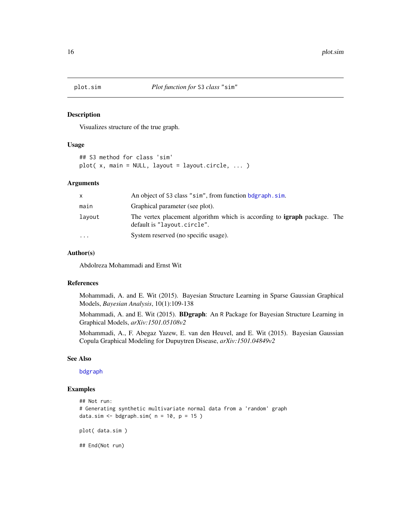<span id="page-15-0"></span>

#### Description

Visualizes structure of the true graph.

#### Usage

## S3 method for class 'sim'  $plot(x, main = NULL, layout = layout.circle, ...)$ 

#### Arguments

| X        | An object of S3 class "sim", from function bdgraph.sim.                                                        |  |
|----------|----------------------------------------------------------------------------------------------------------------|--|
| main     | Graphical parameter (see plot).                                                                                |  |
| layout   | The vertex placement algorithm which is according to <b>igraph</b> package. The<br>default is "layout.circle". |  |
| $\cdots$ | System reserved (no specific usage).                                                                           |  |

## Author(s)

Abdolreza Mohammadi and Ernst Wit

## References

Mohammadi, A. and E. Wit (2015). Bayesian Structure Learning in Sparse Gaussian Graphical Models, *Bayesian Analysis*, 10(1):109-138

Mohammadi, A. and E. Wit (2015). **BDgraph**: An R Package for Bayesian Structure Learning in Graphical Models, *arXiv:1501.05108v2*

Mohammadi, A., F. Abegaz Yazew, E. van den Heuvel, and E. Wit (2015). Bayesian Gaussian Copula Graphical Modeling for Dupuytren Disease, *arXiv:1501.04849v2*

#### See Also

[bdgraph](#page-2-1)

## Examples

```
## Not run:
# Generating synthetic multivariate normal data from a 'random' graph
data.sim \leq bdgraph.sim( n = 10, p = 15 )
plot( data.sim )
## End(Not run)
```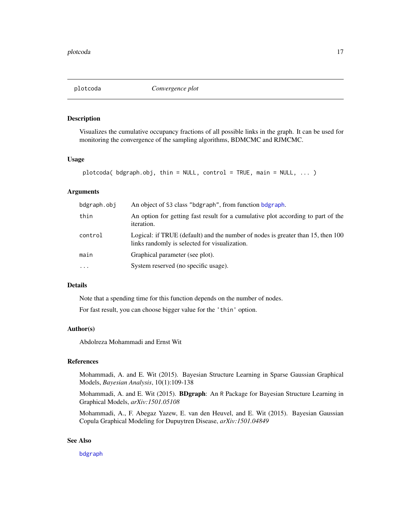<span id="page-16-0"></span>

## Description

Visualizes the cumulative occupancy fractions of all possible links in the graph. It can be used for monitoring the convergence of the sampling algorithms, BDMCMC and RJMCMC.

## Usage

```
plotcoda( bdgraph.obj, thin = NULL, control = TRUE, main = NULL, ... )
```
## Arguments

| bdgraph.obj | An object of S3 class "bdgraph", from function bdgraph.                                                                          |
|-------------|----------------------------------------------------------------------------------------------------------------------------------|
| thin        | An option for getting fast result for a cumulative plot according to part of the<br><i>iteration.</i>                            |
| control     | Logical: if TRUE (default) and the number of nodes is greater than 15, then 100<br>links randomly is selected for visualization. |
| main        | Graphical parameter (see plot).                                                                                                  |
| $\ddotsc$   | System reserved (no specific usage).                                                                                             |

#### Details

Note that a spending time for this function depends on the number of nodes.

For fast result, you can choose bigger value for the 'thin' option.

## Author(s)

Abdolreza Mohammadi and Ernst Wit

## References

Mohammadi, A. and E. Wit (2015). Bayesian Structure Learning in Sparse Gaussian Graphical Models, *Bayesian Analysis*, 10(1):109-138

Mohammadi, A. and E. Wit (2015). BDgraph: An R Package for Bayesian Structure Learning in Graphical Models, *arXiv:1501.05108*

Mohammadi, A., F. Abegaz Yazew, E. van den Heuvel, and E. Wit (2015). Bayesian Gaussian Copula Graphical Modeling for Dupuytren Disease, *arXiv:1501.04849*

## See Also

[bdgraph](#page-2-1)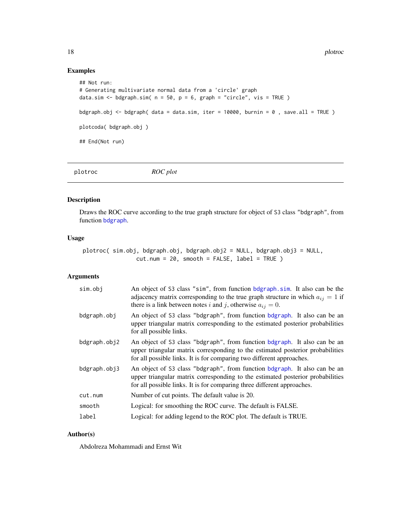## Examples

```
## Not run:
# Generating multivariate normal data from a 'circle' graph
data.sim <- bdgraph.sim(n = 50, p = 6, graph = "circle", vis = TRUE)
bdgraph.obj <- bdgraph( data = data.sim, iter = 10000, burnin = 0, save.all = TRUE)
plotcoda( bdgraph.obj )
## End(Not run)
```
plotroc *ROC plot*

#### Description

Draws the ROC curve according to the true graph structure for object of S3 class "bdgraph", from function [bdgraph](#page-2-1).

## Usage

plotroc( sim.obj, bdgraph.obj, bdgraph.obj2 = NULL, bdgraph.obj3 = NULL, cut.num = 20, smooth = FALSE, label = TRUE )

## Arguments

| sim.obj      | An object of S3 class "sim", from function bdgraph.sim. It also can be the<br>adjacency matrix corresponding to the true graph structure in which $a_{ij} = 1$ if<br>there is a link between notes i and j, otherwise $a_{ij} = 0$ .   |
|--------------|----------------------------------------------------------------------------------------------------------------------------------------------------------------------------------------------------------------------------------------|
| bdgraph.obj  | An object of S3 class "bdgraph", from function bdgraph. It also can be an<br>upper triangular matrix corresponding to the estimated posterior probabilities<br>for all possible links.                                                 |
| bdgraph.obj2 | An object of S3 class "bdgraph", from function bdgraph. It also can be an<br>upper triangular matrix corresponding to the estimated posterior probabilities<br>for all possible links. It is for comparing two different approaches.   |
| bdgraph.obj3 | An object of S3 class "bdgraph", from function bdgraph. It also can be an<br>upper triangular matrix corresponding to the estimated posterior probabilities<br>for all possible links. It is for comparing three different approaches. |
| cut.num      | Number of cut points. The default value is 20.                                                                                                                                                                                         |
| smooth       | Logical: for smoothing the ROC curve. The default is FALSE.                                                                                                                                                                            |
| label        | Logical: for adding legend to the ROC plot. The default is TRUE.                                                                                                                                                                       |
|              |                                                                                                                                                                                                                                        |

### Author(s)

Abdolreza Mohammadi and Ernst Wit

<span id="page-17-0"></span>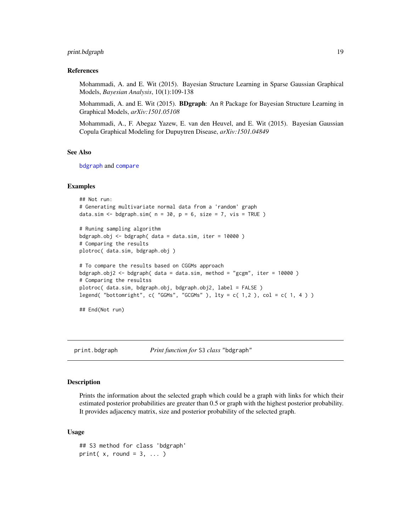## <span id="page-18-0"></span>print.bdgraph 19

#### References

Mohammadi, A. and E. Wit (2015). Bayesian Structure Learning in Sparse Gaussian Graphical Models, *Bayesian Analysis*, 10(1):109-138

Mohammadi, A. and E. Wit (2015). **BDgraph**: An R Package for Bayesian Structure Learning in Graphical Models, *arXiv:1501.05108*

Mohammadi, A., F. Abegaz Yazew, E. van den Heuvel, and E. Wit (2015). Bayesian Gaussian Copula Graphical Modeling for Dupuytren Disease, *arXiv:1501.04849*

#### See Also

[bdgraph](#page-2-1) and [compare](#page-7-1)

#### Examples

```
## Not run:
# Generating multivariate normal data from a 'random' graph
data.sim \leq bdgraph.sim( n = 30, p = 6, size = 7, vis = TRUE )
```

```
# Runing sampling algorithm
bdgraph.obj <- bdgraph( data = data.sim, iter = 10000 )
# Comparing the results
plotroc( data.sim, bdgraph.obj )
```

```
# To compare the results based on CGGMs approach
bdgraph.obj2 <- bdgraph( data = data.sim, method = "gcgm", iter = 10000 )
# Comparing the resultss
plotroc( data.sim, bdgraph.obj, bdgraph.obj2, label = FALSE )
legend( "bottomright", c( "GGMs", "GCGMs"), lty = c( 1, 2), col = c( 1, 4))
```
## End(Not run)

print.bdgraph *Print function for* S3 *class* "bdgraph"

#### Description

Prints the information about the selected graph which could be a graph with links for which their estimated posterior probabilities are greater than 0.5 or graph with the highest posterior probability. It provides adjacency matrix, size and posterior probability of the selected graph.

#### Usage

```
## S3 method for class 'bdgraph'
print(x, round = 3, ... )
```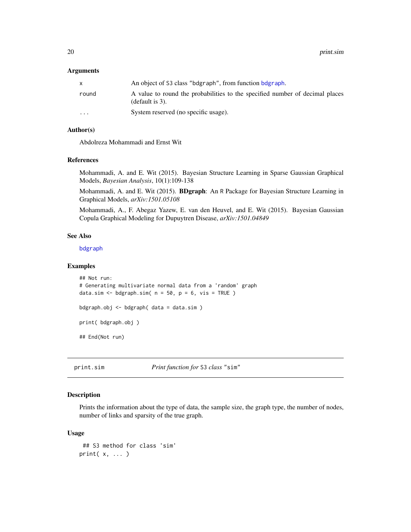#### <span id="page-19-0"></span>**Arguments**

|                         | An object of S3 class "bdgraph", from function bdgraph.                                            |
|-------------------------|----------------------------------------------------------------------------------------------------|
| round                   | A value to round the probabilities to the specified number of decimal places<br>(default is $3$ ). |
| $\cdot$ $\cdot$ $\cdot$ | System reserved (no specific usage).                                                               |

## Author(s)

Abdolreza Mohammadi and Ernst Wit

#### References

Mohammadi, A. and E. Wit (2015). Bayesian Structure Learning in Sparse Gaussian Graphical Models, *Bayesian Analysis*, 10(1):109-138

Mohammadi, A. and E. Wit (2015). **BDgraph**: An R Package for Bayesian Structure Learning in Graphical Models, *arXiv:1501.05108*

Mohammadi, A., F. Abegaz Yazew, E. van den Heuvel, and E. Wit (2015). Bayesian Gaussian Copula Graphical Modeling for Dupuytren Disease, *arXiv:1501.04849*

#### See Also

[bdgraph](#page-2-1)

## Examples

```
## Not run:
# Generating multivariate normal data from a 'random' graph
data.sim \leq bdgraph.sim( n = 50, p = 6, vis = TRUE )
bdgraph.obj <- bdgraph( data = data.sim )
print( bdgraph.obj )
## End(Not run)
```
print.sim *Print function for* S3 *class* "sim"

## Description

Prints the information about the type of data, the sample size, the graph type, the number of nodes, number of links and sparsity of the true graph.

#### Usage

```
## S3 method for class 'sim'
print( x, ... )
```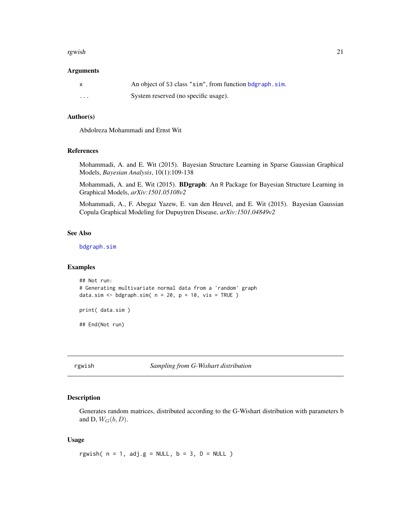#### <span id="page-20-0"></span>rgwish 21

#### **Arguments**

|          | An object of S3 class "sim", from function bdgraph, sim. |
|----------|----------------------------------------------------------|
| $\cdots$ | System reserved (no specific usage).                     |

#### Author(s)

Abdolreza Mohammadi and Ernst Wit

## References

Mohammadi, A. and E. Wit (2015). Bayesian Structure Learning in Sparse Gaussian Graphical Models, *Bayesian Analysis*, 10(1):109-138

Mohammadi, A. and E. Wit (2015). BDgraph: An R Package for Bayesian Structure Learning in Graphical Models, *arXiv:1501.05108v2*

Mohammadi, A., F. Abegaz Yazew, E. van den Heuvel, and E. Wit (2015). Bayesian Gaussian Copula Graphical Modeling for Dupuytren Disease, *arXiv:1501.04849v2*

## See Also

[bdgraph.sim](#page-5-1)

#### Examples

```
## Not run:
# Generating multivariate normal data from a 'random' graph
data.sim <- bdgraph.sim(n = 20, p = 10, vis = TRUE)
print( data.sim )
```
## End(Not run)

rgwish *Sampling from G-Wishart distribution*

## Description

Generates random matrices, distributed according to the G-Wishart distribution with parameters b and D,  $W_G(b, D)$ .

## Usage

rgwish(  $n = 1$ , adj.g = NULL,  $b = 3$ ,  $D = NULL$  )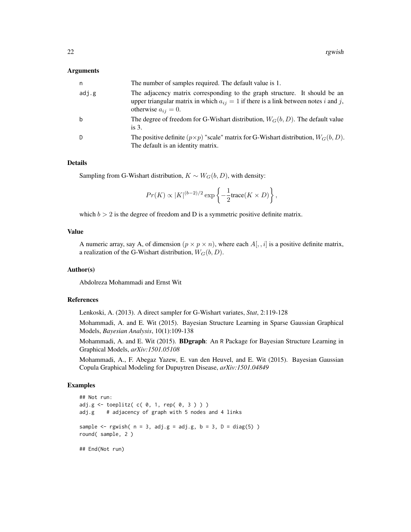#### Arguments

| n.    | The number of samples required. The default value is 1.                                                                                                                                           |
|-------|---------------------------------------------------------------------------------------------------------------------------------------------------------------------------------------------------|
| adj.g | The adjacency matrix corresponding to the graph structure. It should be an<br>upper triangular matrix in which $a_{ij} = 1$ if there is a link between notes i and j,<br>otherwise $a_{ij} = 0$ . |
| b     | The degree of freedom for G-Wishart distribution, $W_G(b, D)$ . The default value<br>is $3$ .                                                                                                     |
| D     | The positive definite $(p \times p)$ "scale" matrix for G-Wishart distribution, $W_G(b, D)$ .<br>The default is an identity matrix.                                                               |

#### Details

Sampling from G-Wishart distribution,  $K \sim W_G(b, D)$ , with density:

$$
Pr(K) \propto |K|^{(b-2)/2} \exp \left\{-\frac{1}{2} \text{trace}(K \times D)\right\},\,
$$

which  $b > 2$  is the degree of freedom and D is a symmetric positive definite matrix.

#### Value

A numeric array, say A, of dimension  $(p \times p \times n)$ , where each  $A[, i]$  is a positive definite matrix, a realization of the G-Wishart distribution,  $W_G(b, D)$ .

## Author(s)

Abdolreza Mohammadi and Ernst Wit

## References

Lenkoski, A. (2013). A direct sampler for G-Wishart variates, *Stat*, 2:119-128

Mohammadi, A. and E. Wit (2015). Bayesian Structure Learning in Sparse Gaussian Graphical Models, *Bayesian Analysis*, 10(1):109-138

Mohammadi, A. and E. Wit (2015). **BDgraph**: An R Package for Bayesian Structure Learning in Graphical Models, *arXiv:1501.05108*

Mohammadi, A., F. Abegaz Yazew, E. van den Heuvel, and E. Wit (2015). Bayesian Gaussian Copula Graphical Modeling for Dupuytren Disease, *arXiv:1501.04849*

### Examples

```
## Not run:
adj.g <- toeplitz( c( 0, 1, rep( 0, 3 ) ) )
adj.g # adjacency of graph with 5 nodes and 4 links
sample \leq rgwish( n = 3, adj.g = adj.g, b = 3, D = diag(5) )
round( sample, 2 )
```
## End(Not run)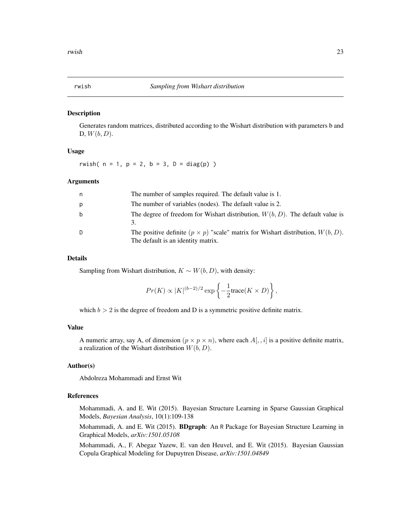#### <span id="page-22-0"></span>Description

Generates random matrices, distributed according to the Wishart distribution with parameters b and D,  $W(b, D)$ .

## Usage

rwish(  $n = 1$ ,  $p = 2$ ,  $b = 3$ ,  $D = diag(p)$  )

## Arguments

| n. | The number of samples required. The default value is 1.                                                                         |
|----|---------------------------------------------------------------------------------------------------------------------------------|
| p  | The number of variables (nodes). The default value is 2.                                                                        |
| b  | The degree of freedom for Wishart distribution, $W(b, D)$ . The default value is                                                |
| D  | The positive definite $(p \times p)$ "scale" matrix for Wishart distribution, $W(b, D)$ .<br>The default is an identity matrix. |

#### Details

Sampling from Wishart distribution,  $K \sim W(b, D)$ , with density:

$$
Pr(K) \propto |K|^{(b-2)/2} \exp \left\{-\frac{1}{2} \text{trace}(K \times D)\right\},\,
$$

which  $b > 2$  is the degree of freedom and D is a symmetric positive definite matrix.

#### Value

A numeric array, say A, of dimension  $(p \times p \times n)$ , where each  $A[$ ,  $i]$  is a positive definite matrix, a realization of the Wishart distribution  $W(b, D)$ .

## Author(s)

Abdolreza Mohammadi and Ernst Wit

## References

Mohammadi, A. and E. Wit (2015). Bayesian Structure Learning in Sparse Gaussian Graphical Models, *Bayesian Analysis*, 10(1):109-138

Mohammadi, A. and E. Wit (2015). **BDgraph**: An R Package for Bayesian Structure Learning in Graphical Models, *arXiv:1501.05108*

Mohammadi, A., F. Abegaz Yazew, E. van den Heuvel, and E. Wit (2015). Bayesian Gaussian Copula Graphical Modeling for Dupuytren Disease, *arXiv:1501.04849*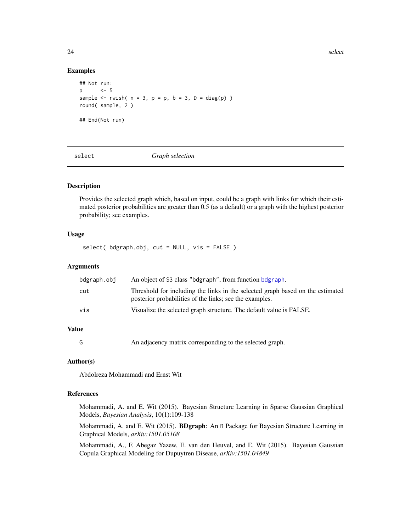24 select the selection of the selection of the selection of the selection of the selection of the selection of the selection of the selection of the selection of the selection of the selection of the selection of the sele

#### Examples

```
## Not run:
p <- 5
sample \leq rwish( n = 3, p = p, b = 3, D = diag(p) )
round( sample, 2 )
## End(Not run)
```
<span id="page-23-1"></span>

select *Graph selection*

#### Description

Provides the selected graph which, based on input, could be a graph with links for which their estimated posterior probabilities are greater than 0.5 (as a default) or a graph with the highest posterior probability; see examples.

### Usage

select( bdgraph.obj, cut = NULL, vis = FALSE )

## Arguments

| bdgraph.obj | An object of S3 class "bdgraph", from function bdgraph.                                                                                   |
|-------------|-------------------------------------------------------------------------------------------------------------------------------------------|
| cut         | Threshold for including the links in the selected graph based on the estimated<br>posterior probabilities of the links; see the examples. |
| vis         | Visualize the selected graph structure. The default value is FALSE.                                                                       |

## Value

G An adjacency matrix corresponding to the selected graph.

#### Author(s)

Abdolreza Mohammadi and Ernst Wit

## References

Mohammadi, A. and E. Wit (2015). Bayesian Structure Learning in Sparse Gaussian Graphical Models, *Bayesian Analysis*, 10(1):109-138

Mohammadi, A. and E. Wit (2015). BDgraph: An R Package for Bayesian Structure Learning in Graphical Models, *arXiv:1501.05108*

Mohammadi, A., F. Abegaz Yazew, E. van den Heuvel, and E. Wit (2015). Bayesian Gaussian Copula Graphical Modeling for Dupuytren Disease, *arXiv:1501.04849*

<span id="page-23-0"></span>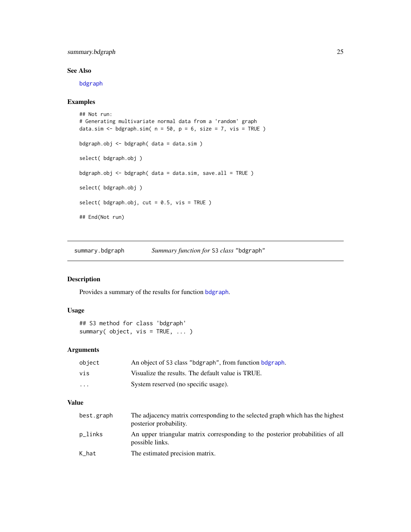## <span id="page-24-0"></span>summary.bdgraph 25

## See Also

[bdgraph](#page-2-1)

## Examples

```
## Not run:
# Generating multivariate normal data from a 'random' graph
data.sim <- bdgraph.sim(n = 50, p = 6, size = 7, vis = TRUE)
bdgraph.obj <- bdgraph( data = data.sim )
select( bdgraph.obj )
bdgraph.obj <- bdgraph( data = data.sim, save.all = TRUE )
select( bdgraph.obj )
select( bdgraph.obj, cut = 0.5, vis = TRUE )
## End(Not run)
```
<span id="page-24-1"></span>summary.bdgraph *Summary function for* S3 *class* "bdgraph"

## Description

Provides a summary of the results for function [bdgraph](#page-2-1).

## Usage

```
## S3 method for class 'bdgraph'
summary( object, vis = TRUE, ... )
```
## Arguments

| object                  | An object of S3 class "bdgraph", from function bdgraph. |
|-------------------------|---------------------------------------------------------|
| vis                     | Visualize the results. The default value is TRUE.       |
| $\cdot$ $\cdot$ $\cdot$ | System reserved (no specific usage).                    |

## Value

| best.graph | The adjacency matrix corresponding to the selected graph which has the highest<br>posterior probability. |
|------------|----------------------------------------------------------------------------------------------------------|
| p_links    | An upper triangular matrix corresponding to the posterior probabilities of all<br>possible links.        |
| K_hat      | The estimated precision matrix.                                                                          |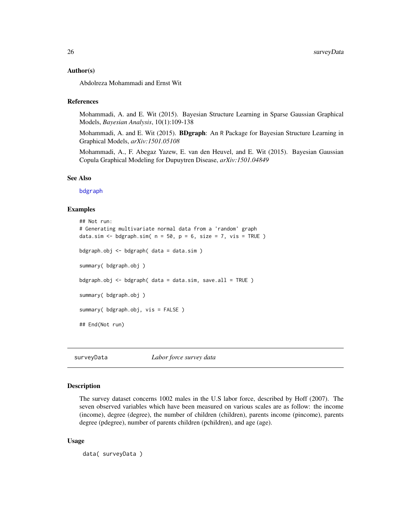#### <span id="page-25-0"></span>Author(s)

Abdolreza Mohammadi and Ernst Wit

#### References

Mohammadi, A. and E. Wit (2015). Bayesian Structure Learning in Sparse Gaussian Graphical Models, *Bayesian Analysis*, 10(1):109-138

Mohammadi, A. and E. Wit (2015). **BDgraph**: An R Package for Bayesian Structure Learning in Graphical Models, *arXiv:1501.05108*

Mohammadi, A., F. Abegaz Yazew, E. van den Heuvel, and E. Wit (2015). Bayesian Gaussian Copula Graphical Modeling for Dupuytren Disease, *arXiv:1501.04849*

#### See Also

[bdgraph](#page-2-1)

### Examples

```
## Not run:
# Generating multivariate normal data from a 'random' graph
data.sim <- bdgraph.sim(n = 50, p = 6, size = 7, vis = TRUE)
bdgraph.obj <- bdgraph( data = data.sim )
summary( bdgraph.obj )
bdgraph.obj \leq bdgraph( data = data.sim, save.all = TRUE )
summary( bdgraph.obj )
summary( bdgraph.obj, vis = FALSE )
## End(Not run)
```
surveyData *Labor force survey data*

#### Description

The survey dataset concerns 1002 males in the U.S labor force, described by Hoff (2007). The seven observed variables which have been measured on various scales are as follow: the income (income), degree (degree), the number of children (children), parents income (pincome), parents degree (pdegree), number of parents children (pchildren), and age (age).

#### Usage

```
data( surveyData )
```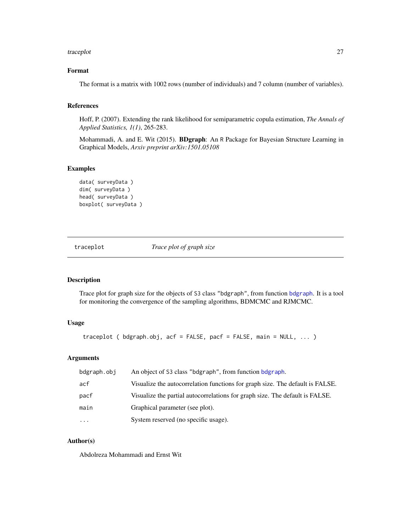#### <span id="page-26-0"></span>traceplot 27

## Format

The format is a matrix with 1002 rows (number of individuals) and 7 column (number of variables).

## References

Hoff, P. (2007). Extending the rank likelihood for semiparametric copula estimation, *The Annals of Applied Statistics, 1(1)*, 265-283.

Mohammadi, A. and E. Wit (2015). BDgraph: An R Package for Bayesian Structure Learning in Graphical Models, *Arxiv preprint arXiv:1501.05108*

#### Examples

```
data( surveyData )
dim( surveyData )
head( surveyData )
boxplot( surveyData )
```
traceplot *Trace plot of graph size*

#### Description

Trace plot for graph size for the objects of S3 class "bdgraph", from function [bdgraph](#page-2-1). It is a tool for monitoring the convergence of the sampling algorithms, BDMCMC and RJMCMC.

#### Usage

traceplot ( bdgraph.obj, acf = FALSE, pacf = FALSE, main = NULL, ... )

## Arguments

| bdgraph.obj | An object of S3 class "bdgraph", from function bdgraph.                       |
|-------------|-------------------------------------------------------------------------------|
| acf         | Visualize the autocorrelation functions for graph size. The default is FALSE. |
| pacf        | Visualize the partial autocorrelations for graph size. The default is FALSE.  |
| main        | Graphical parameter (see plot).                                               |
| $\ddotsc$   | System reserved (no specific usage).                                          |

## Author(s)

Abdolreza Mohammadi and Ernst Wit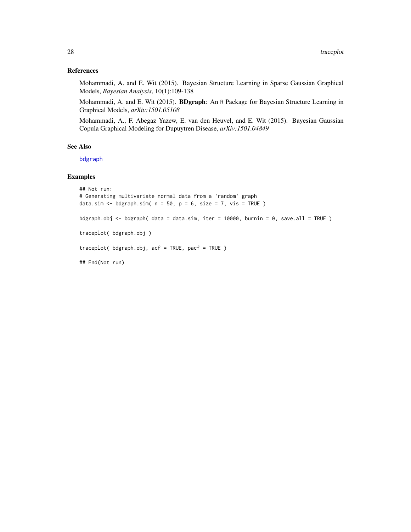## <span id="page-27-0"></span>References

Mohammadi, A. and E. Wit (2015). Bayesian Structure Learning in Sparse Gaussian Graphical Models, *Bayesian Analysis*, 10(1):109-138

Mohammadi, A. and E. Wit (2015). BDgraph: An R Package for Bayesian Structure Learning in Graphical Models, *arXiv:1501.05108*

Mohammadi, A., F. Abegaz Yazew, E. van den Heuvel, and E. Wit (2015). Bayesian Gaussian Copula Graphical Modeling for Dupuytren Disease, *arXiv:1501.04849*

## See Also

[bdgraph](#page-2-1)

## Examples

```
## Not run:
# Generating multivariate normal data from a 'random' graph
data.sim <- bdgraph.sim(n = 50, p = 6, size = 7, vis = TRUE)
bdgraph.obj <- bdgraph( data = data.sim, iter = 10000, burnin = 0, save.all = TRUE )
traceplot( bdgraph.obj )
traceplot( bdgraph.obj, acf = TRUE, pacf = TRUE )
## End(Not run)
```